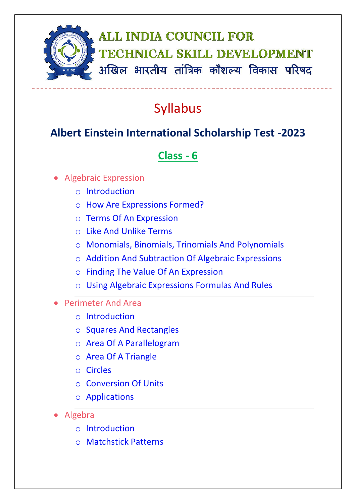

## Syllabus

## **Albert Einstein International Scholarship Test -2023**

## **Class - 6**

- Algebraic Expression
	- o Introduction
	- o How Are Expressions Formed?
	- o Terms Of An Expression
	- o Like And Unlike Terms
	- o Monomials, Binomials, Trinomials And Polynomials
	- o Addition And Subtraction Of Algebraic Expressions
	- o Finding The Value Of An Expression
	- o Using Algebraic Expressions Formulas And Rules
- Perimeter And Area
	- o Introduction
	- o Squares And Rectangles
	- o Area Of A Parallelogram
	- o Area Of A Triangle
	- o Circles
	- o Conversion Of Units
	- o Applications
- Algebra
	- o Introduction
	- o Matchstick Patterns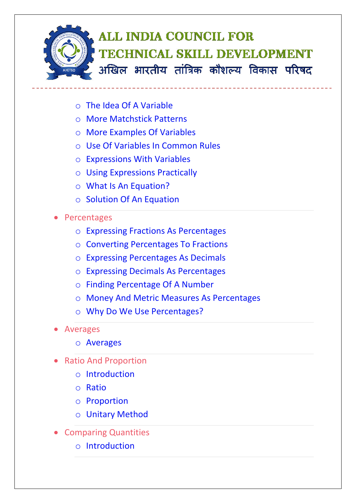

- o The Idea Of A Variable
- o More Matchstick Patterns
- o More Examples Of Variables
- o Use Of Variables In Common Rules
- o Expressions With Variables
- o Using Expressions Practically
- o What Is An Equation?
- o Solution Of An Equation
- Percentages
	- o Expressing Fractions As Percentages
	- o Converting Percentages To Fractions
	- o Expressing Percentages As Decimals
	- o Expressing Decimals As Percentages
	- o Finding Percentage Of A Number
	- o Money And Metric Measures As Percentages
	- o Why Do We Use Percentages?
- Averages
	- o Averages
- Ratio And Proportion
	- o Introduction
	- o Ratio
	- o Proportion
	- o Unitary Method
- Comparing Quantities
	- o Introduction